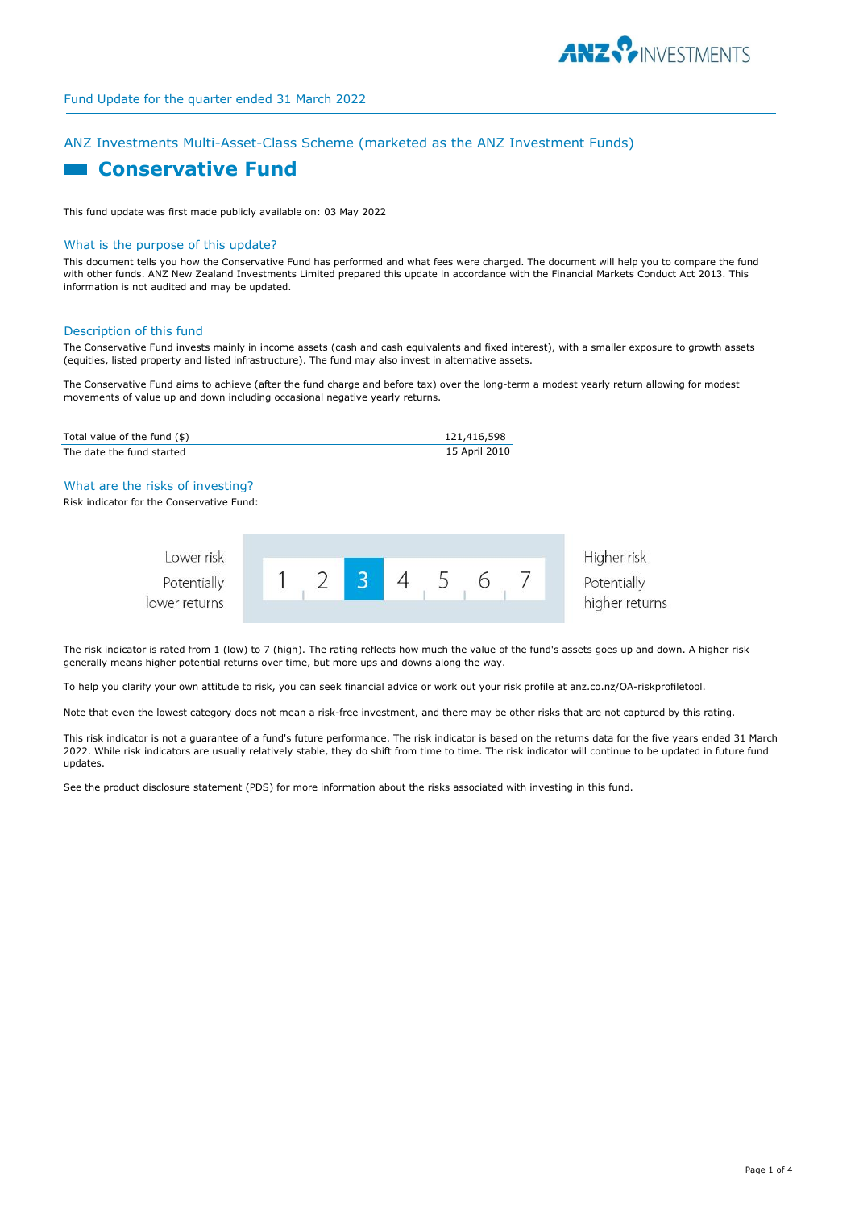

# ANZ Investments Multi-Asset-Class Scheme (marketed as the ANZ Investment Funds)

# **Example 2 Conservative Fund**

This fund update was first made publicly available on: 03 May 2022

#### What is the purpose of this update?

This document tells you how the Conservative Fund has performed and what fees were charged. The document will help you to compare the fund with other funds. ANZ New Zealand Investments Limited prepared this update in accordance with the Financial Markets Conduct Act 2013. This information is not audited and may be updated.

#### Description of this fund

The Conservative Fund invests mainly in income assets (cash and cash equivalents and fixed interest), with a smaller exposure to growth assets (equities, listed property and listed infrastructure). The fund may also invest in alternative assets.

The Conservative Fund aims to achieve (after the fund charge and before tax) over the long-term a modest yearly return allowing for modest movements of value up and down including occasional negative yearly returns.

| Total value of the fund $(\$)$ | 121,416,598   |
|--------------------------------|---------------|
| The date the fund started      | 15 April 2010 |

#### What are the risks of investing?

Risk indicator for the Conservative Fund:



The risk indicator is rated from 1 (low) to 7 (high). The rating reflects how much the value of the fund's assets goes up and down. A higher risk generally means higher potential returns over time, but more ups and downs along the way.

To help you clarify your own attitude to risk, you can seek financial advice or work out your risk profile at anz.co.nz/OA-riskprofiletool.

Note that even the lowest category does not mean a risk-free investment, and there may be other risks that are not captured by this rating.

This risk indicator is not a guarantee of a fund's future performance. The risk indicator is based on the returns data for the five years ended 31 March 2022. While risk indicators are usually relatively stable, they do shift from time to time. The risk indicator will continue to be updated in future fund updates.

See the product disclosure statement (PDS) for more information about the risks associated with investing in this fund.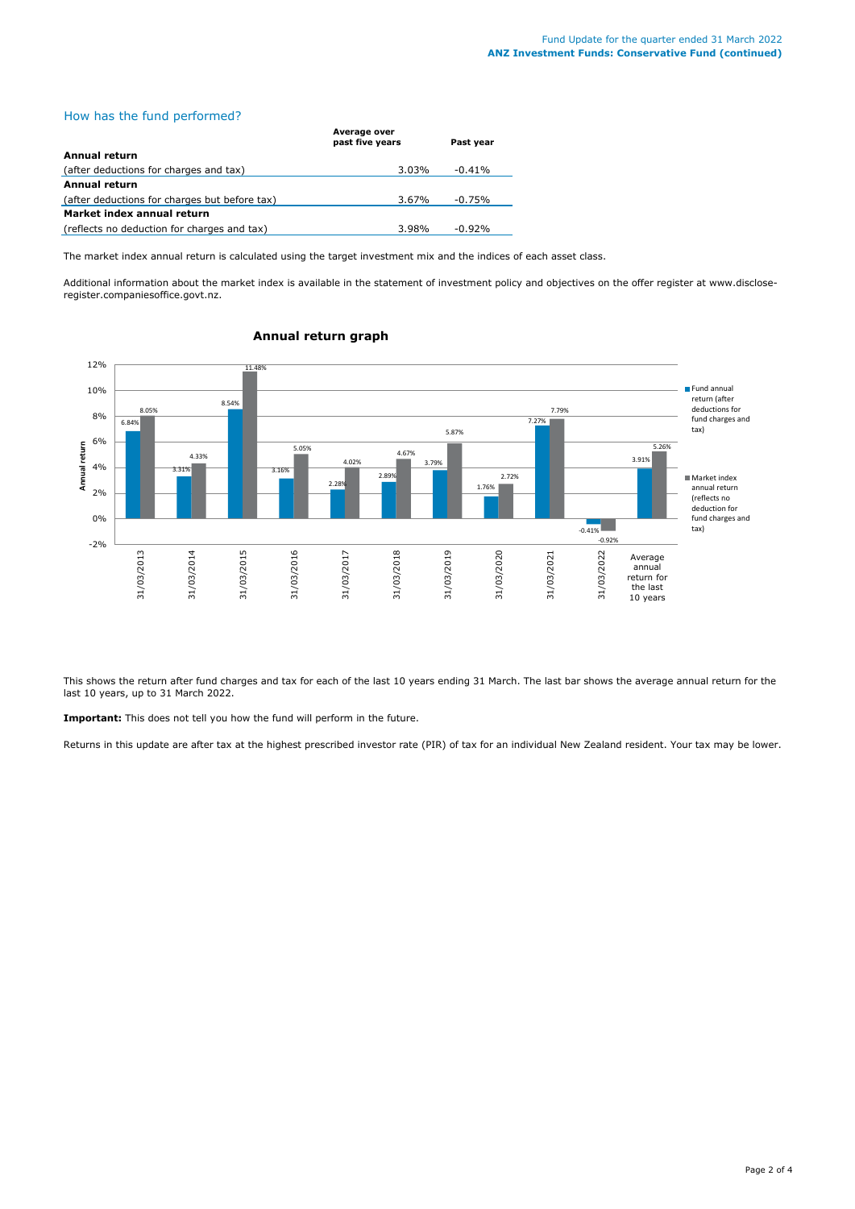# How has the fund performed?

|                                               | Average over<br>past five years | Past vear |
|-----------------------------------------------|---------------------------------|-----------|
| Annual return                                 |                                 |           |
| (after deductions for charges and tax)        | 3.03%                           | $-0.41%$  |
| Annual return                                 |                                 |           |
| (after deductions for charges but before tax) | 3.67%                           | $-0.75%$  |
| Market index annual return                    |                                 |           |
| (reflects no deduction for charges and tax)   | 3.98%                           | $-0.92\%$ |

The market index annual return is calculated using the target investment mix and the indices of each asset class.

Additional information about the market index is available in the statement of investment policy and objectives on the offer register at www.discloseregister.companiesoffice.govt.nz.



# **Annual return graph**

This shows the return after fund charges and tax for each of the last 10 years ending 31 March. The last bar shows the average annual return for the last 10 years, up to 31 March 2022.

**Important:** This does not tell you how the fund will perform in the future.

Returns in this update are after tax at the highest prescribed investor rate (PIR) of tax for an individual New Zealand resident. Your tax may be lower.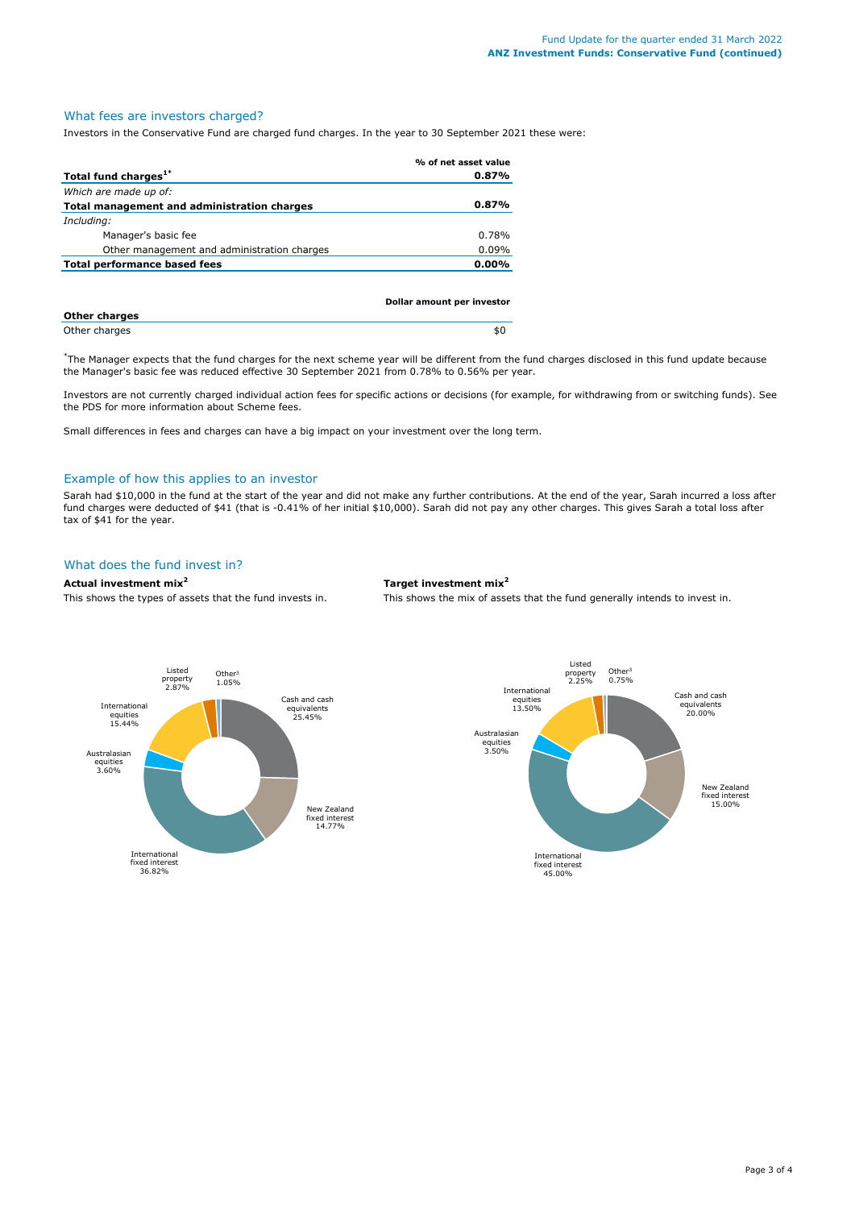# What fees are investors charged?

Investors in the Conservative Fund are charged fund charges. In the year to 30 September 2021 these were:

|                                             | % of net asset value       |
|---------------------------------------------|----------------------------|
| Total fund charges <sup>1*</sup>            | 0.87%                      |
| Which are made up of:                       |                            |
| Total management and administration charges | 0.87%                      |
| Including:                                  |                            |
| Manager's basic fee                         | 0.78%                      |
| Other management and administration charges | $0.09\%$                   |
| <b>Total performance based fees</b>         | $0.00\%$                   |
|                                             |                            |
|                                             |                            |
|                                             | Dollar amount per investor |

| <b>Other charges</b> |     |
|----------------------|-----|
| Other charges        | .nl |

\* The Manager expects that the fund charges for the next scheme year will be different from the fund charges disclosed in this fund update because the Manager's basic fee was reduced effective 30 September 2021 from 0.78% to 0.56% per year.

Investors are not currently charged individual action fees for specific actions or decisions (for example, for withdrawing from or switching funds). See the PDS for more information about Scheme fees.

Small differences in fees and charges can have a big impact on your investment over the long term.

#### Example of how this applies to an investor

Sarah had \$10,000 in the fund at the start of the year and did not make any further contributions. At the end of the year, Sarah incurred a loss after fund charges were deducted of \$41 (that is -0.41% of her initial \$10,000). Sarah did not pay any other charges. This gives Sarah a total loss after tax of \$41 for the year.

# What does the fund invest in?

### **Actual investment mix<sup>2</sup> Target investment mix<sup>2</sup>**

This shows the types of assets that the fund invests in. This shows the mix of assets that the fund generally intends to invest in.